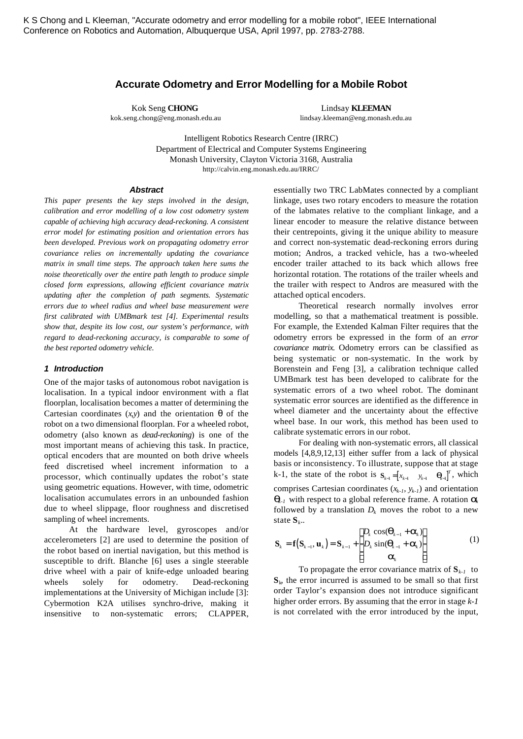# **Accurate Odometry and Error Modelling for a Mobile Robot**

Kok Seng **CHONG** Lindsay **KLEEMAN** kok.seng.chong@eng.monash.edu.au lindsay.kleeman@eng.monash.edu.au

> Intelligent Robotics Research Centre (IRRC) Department of Electrical and Computer Systems Engineering Monash University, Clayton Victoria 3168, Australia http://calvin.eng.monash.edu.au/IRRC/

#### *Abstract*

*This paper presents the key steps involved in the design, calibration and error modelling of a low cost odometry system capable of achieving high accuracy dead-reckoning. A consistent error model for estimating position and orientation errors has been developed. Previous work on propagating odometry error covariance relies on incrementally updating the covariance matrix in small time steps. The approach taken here sums the noise theoretically over the entire path length to produce simple closed form expressions, allowing efficient covariance matrix updating after the completion of path segments. Systematic errors due to wheel radius and wheel base measurement were first calibrated with UMBmark test [4]. Experimental results show that, despite its low cost, our system's performance, with regard to dead-reckoning accuracy, is comparable to some of the best reported odometry vehicle.*

## *1 Introduction*

One of the major tasks of autonomous robot navigation is localisation. In a typical indoor environment with a flat floorplan, localisation becomes a matter of determining the Cartesian coordinates  $(x,y)$  and the orientation  $\theta$  of the robot on a two dimensional floorplan. For a wheeled robot, odometry (also known as *dead-reckoning*) is one of the most important means of achieving this task. In practice, optical encoders that are mounted on both drive wheels feed discretised wheel increment information to a processor, which continually updates the robot's state using geometric equations. However, with time, odometric localisation accumulates errors in an unbounded fashion due to wheel slippage, floor roughness and discretised sampling of wheel increments.

At the hardware level, gyroscopes and/or accelerometers [2] are used to determine the position of the robot based on inertial navigation, but this method is susceptible to drift. Blanche [6] uses a single steerable drive wheel with a pair of knife-edge unloaded bearing wheels solely for odometry. Dead-reckoning implementations at the University of Michigan include [3]: Cybermotion K2A utilises synchro-drive, making it insensitive to non-systematic errors; CLAPPER,

essentially two TRC LabMates connected by a compliant linkage, uses two rotary encoders to measure the rotation of the labmates relative to the compliant linkage, and a linear encoder to measure the relative distance between their centrepoints, giving it the unique ability to measure and correct non-systematic dead-reckoning errors during motion; Andros, a tracked vehicle, has a two-wheeled encoder trailer attached to its back which allows free horizontal rotation. The rotations of the trailer wheels and the trailer with respect to Andros are measured with the attached optical encoders.

Theoretical research normally involves error modelling, so that a mathematical treatment is possible. For example, the Extended Kalman Filter requires that the odometry errors be expressed in the form of an *error covariance matrix.* Odometry errors can be classified as being systematic or non-systematic. In the work by Borenstein and Feng [3], a calibration technique called UMBmark test has been developed to calibrate for the systematic errors of a two wheel robot. The dominant systematic error sources are identified as the difference in wheel diameter and the uncertainty about the effective wheel base. In our work, this method has been used to calibrate systematic errors in our robot.

For dealing with non-systematic errors, all classical models [4,8,9,12,13] either suffer from a lack of physical basis or inconsistency. To illustrate, suppose that at stage  $k-1$ , the state of the robot is  $S_{k-1} = \begin{bmatrix} x_{k-1} & y_{k-1} & q_{k-1} \end{bmatrix}^T$ , which comprises Cartesian coordinates (*xk-1*, *yk-1*) and orientation *qk-1* with respect to a global reference frame. A rotation *a<sup>k</sup>* followed by a translation  $D_k$  moves the robot to a new state **S***<sup>k</sup>* ..

$$
\mathbf{S}_{k} = \mathbf{f}(\mathbf{S}_{k-1}, \mathbf{u}_{k}) = \mathbf{S}_{k-1} + \begin{bmatrix} D_{k} \cos(\mathbf{q}_{k-1} + \mathbf{a}_{k}) \\ D_{k} \sin(\mathbf{q}_{k-1} + \mathbf{a}_{k}) \\ \mathbf{a}_{k} \end{bmatrix}
$$
(1)

To propagate the error covariance matrix of  $S_{k-1}$  to  $S_k$ , the error incurred is assumed to be small so that first order Taylor's expansion does not introduce significant higher order errors. By assuming that the error in stage *k-1* is not correlated with the error introduced by the input,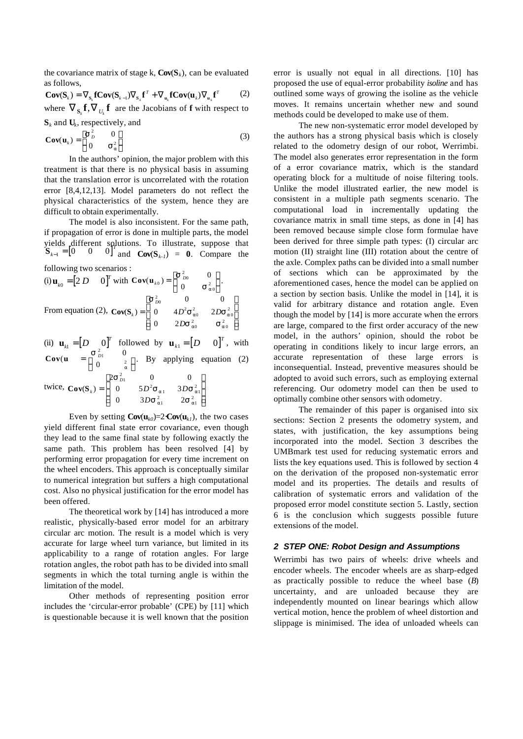the covariance matrix of stage k,  $Cov(S_k)$ , can be evaluated as follows,

$$
\mathbf{Cov}(\mathbf{S}_k) = \nabla_{\mathbf{s}_k} \mathbf{fCov}(\mathbf{S}_{k-1}) \nabla_{\mathbf{s}_k} \mathbf{f}^T + \nabla_{\mathbf{u}_k} \mathbf{fCov}(\mathbf{u}_k) \nabla_{\mathbf{u}_k} \mathbf{f}^T
$$
 (2)  
where  $\nabla_{\mathbf{s}_k} \mathbf{f}, \nabla_{U_k} \mathbf{f}$  are the Jacobians of **f** with respect to  
 $\mathbf{S}_k$  and  $\mathbf{U}_k$ , respectively, and

$$
\mathbf{Cov}(\mathbf{u}_k) = \begin{bmatrix} \mathbf{s}_p^2 & 0\\ 0 & \mathbf{s}_a^2 \end{bmatrix}
$$
 (3)

In the authors' opinion, the major problem with this treatment is that there is no physical basis in assuming that the translation error is uncorrelated with the rotation error [8,4,12,13]. Model parameters do not reflect the physical characteristics of the system, hence they are difficult to obtain experimentally.

The model is also inconsistent. For the same path, if propagation of error is done in multiple parts, the model yields different solutions. To illustrate, suppose that  $\mathbf{S}_{k-1} = \begin{bmatrix} 0 & 0 & 0 \end{bmatrix}^T$  $\mathbf{C}_{{\mathbf{I}}_{k-1}} = \begin{bmatrix} 0 & 0 & 0 \end{bmatrix}^T$  and  $\mathbf{Cov}(\mathbf{S}_{k-1}) = \mathbf{0}$ . Compare the

following two scenarios :

(i) 
$$
\mathbf{u}_{k0} = [2 D \quad 0]^T
$$
 with  $\mathbf{Cov}(\mathbf{u}_{k0}) = \begin{bmatrix} \mathbf{s}_{D0}^2 & 0 \\ 0 & \mathbf{s}_{a0}^2 \end{bmatrix}$ .  
From equation (2),  $\mathbf{Cov}(\mathbf{S}_k) = \begin{bmatrix} \mathbf{s}_{D0}^2 & 0 & 0 \\ 0 & 4D^2 \mathbf{s}_{a0}^2 & 2D\mathbf{s}_{a0}^2 \\ 0 & 2D\mathbf{s}_{a0}^2 & \mathbf{s}_{a0}^2 \end{bmatrix}$ 

(ii)  $\mathbf{u}_{k1} = \begin{bmatrix} D & 0 \end{bmatrix}^T$  $\mathbf{u}_{k} = \begin{bmatrix} D & 0 \end{bmatrix}^T$  followed by  $\mathbf{u}_{k} = \begin{bmatrix} D & 0 \end{bmatrix}^T$ , with  $Cov(u) = \begin{vmatrix} S_{D1}^2 \end{vmatrix}$ 2 0  $=\left[\begin{array}{c} 0 \\ 0 \end{array}\right]$  $\left[\begin{array}{cc} 0 & \frac{2}{a} \end{array}\right]$ *s*  $\begin{bmatrix} 2 \\ a \end{bmatrix}$ . By applying equation (2) twice,  $Cov(S_k)$ *D*  $D^2$ **S**<sub>a1</sub> 3D *D* = L L L L L  $\overline{\phantom{a}}$ J  $\overline{\phantom{a}}$  $\overline{\phantom{a}}$  $\overline{1}$  $2\mathbf{s}_{p_1}^2$  0 0 0  $5D^2S_{a1}$  3 0  $3Ds_{a1}^2$  2 2<br>D1  $^{2}S_{a1}$  3Ds<sup>2</sup><sub>a1</sub>  $\frac{2}{a}$   $2S_{a1}^2$ *s*  $s_{\text{a}1}$  3Ds  $s_{a1}^2$   $\frac{3Ds_a}{2s_{a1}^2}$ *a a*

Even by setting  $Cov(u_{k0})=2\mathcal{L}ov(u_{k1})$ , the two cases yield different final state error covariance, even though they lead to the same final state by following exactly the same path. This problem has been resolved [4] by performing error propagation for every time increment on the wheel encoders. This approach is conceptually similar to numerical integration but suffers a high computational cost. Also no physical justification for the error model has been offered.

The theoretical work by [14] has introduced a more realistic, physically-based error model for an arbitrary circular arc motion. The result is a model which is very accurate for large wheel turn variance, but limited in its applicability to a range of rotation angles. For large rotation angles, the robot path has to be divided into small segments in which the total turning angle is within the limitation of the model.

Other methods of representing position error includes the 'circular-error probable' (CPE) by [11] which is questionable because it is well known that the position error is usually not equal in all directions. [10] has proposed the use of equal-error probability *isoline* and has outlined some ways of growing the isoline as the vehicle moves. It remains uncertain whether new and sound methods could be developed to make use of them.

The new non-systematic error model developed by the authors has a strong physical basis which is closely related to the odometry design of our robot, Werrimbi. The model also generates error representation in the form of a error covariance matrix, which is the standard operating block for a multitude of noise filtering tools. Unlike the model illustrated earlier, the new model is consistent in a multiple path segments scenario. The computational load in incrementally updating the covariance matrix in small time steps, as done in [4] has been removed because simple close form formulae have been derived for three simple path types: (I) circular arc motion (II) straight line (III) rotation about the centre of the axle. Complex paths can be divided into a small number of sections which can be approximated by the aforementioned cases, hence the model can be applied on a section by section basis. Unlike the model in [14], it is valid for arbitrary distance and rotation angle. Even though the model by [14] is more accurate when the errors are large, compared to the first order accuracy of the new model, in the authors' opinion, should the robot be operating in conditions likely to incur large errors, an accurate representation of these large errors is inconsequential. Instead, preventive measures should be adopted to avoid such errors, such as employing external referencing. Our odometry model can then be used to optimally combine other sensors with odometry.

The remainder of this paper is organised into six sections: Section 2 presents the odometry system, and states, with justification, the key assumptions being incorporated into the model. Section 3 describes the UMBmark test used for reducing systematic errors and lists the key equations used. This is followed by section 4 on the derivation of the proposed non-systematic error model and its properties. The details and results of calibration of systematic errors and validation of the proposed error model constitute section 5. Lastly, section 6 is the conclusion which suggests possible future extensions of the model.

#### *2 STEP ONE: Robot Design and Assumptions*

Werrimbi has two pairs of wheels: drive wheels and encoder wheels. The encoder wheels are as sharp-edged as practically possible to reduce the wheel base (*B*) uncertainty, and are unloaded because they are independently mounted on linear bearings which allow vertical motion, hence the problem of wheel distortion and slippage is minimised. The idea of unloaded wheels can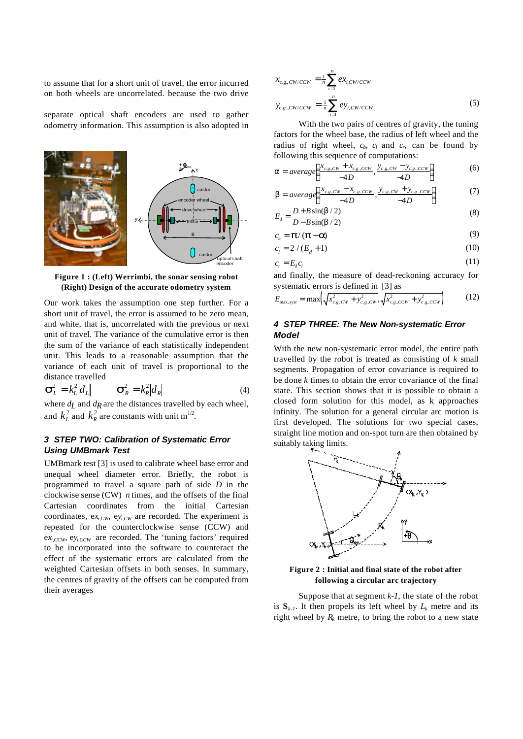to assume that for a short unit of travel, the error incurred on both wheels are uncorrelated. because the two drive

separate optical shaft encoders are used to gather odometry information. This assumption is also adopted in



**Figure 1 : (Left) Werrimbi, the sonar sensing robot (Right) Design of the accurate odometry system**

Our work takes the assumption one step further. For a short unit of travel, the error is assumed to be zero mean, and white, that is, uncorrelated with the previous or next unit of travel. The variance of the cumulative error is then the sum of the variance of each statistically independent unit. This leads to a reasonable assumption that the variance of each unit of travel is proportional to the distance travelled

$$
\mathbf{S}_L^2 = k_L^2 |d_L| \qquad \mathbf{S}_R^2 = k_R^2 |d_R| \tag{4}
$$

where  $d_L$  and  $d_R$  are the distances travelled by each wheel, and  $k_L^2$  and  $k_R^2$  are constants with unit m<sup>1/2</sup>.

## *3 STEP TWO: Calibration of Systematic Error Using UMBmark Test*

UMBmark test [3] is used to calibrate wheel base error and unequal wheel diameter error. Briefly, the robot is programmed to travel a square path of side *D* in the clockwise sense (CW) *n* times, and the offsets of the final Cartesian coordinates from the initial Cartesian coordinates,  $ex_{i,CW}$ ,  $ev_{i,CW}$  are recorded. The experiment is repeated for the counterclockwise sense (CCW) and  $ex_{i,CCW}$ ,  $ey_{i,CCW}$  are recorded. The 'tuning factors' required to be incorporated into the software to counteract the effect of the systematic errors are calculated from the weighted Cartesian offsets in both senses. In summary, the centres of gravity of the offsets can be computed from their averages

$$
x_{c.g,CW/CCW} = \frac{1}{n} \sum_{i=1}^{n} ex_{i,CW/CCW}
$$
  

$$
y_{c.g.,CW/CCW} = \frac{1}{n} \sum_{i=1}^{n} ey_{i,CW/CCW}
$$
 (5)

With the two pairs of centres of gravity, the tuning factors for the wheel base, the radius of left wheel and the radius of right wheel,  $c_b$ ,  $c_l$  and  $c_r$ , can be found by following this sequence of computations:

$$
\mathbf{a} = average\left(\frac{x_{c.g.CW} + x_{c.g.CCW}}{-4D}, \frac{y_{c.g.CW} - y_{c.g.CCW}}{-4D}\right) \tag{6}
$$

$$
\mathbf{b} = average\left(\frac{x_{c,g,CW} - x_{c,g,CCW}}{-4D}, \frac{y_{c,g,CW} + y_{c,g,CCW}}{-4D}\right) \tag{7}
$$

$$
E_d = \frac{D + B\sin(\mathbf{b}/2)}{D - B\sin(\mathbf{b}/2)}
$$
(8)

$$
c_b = \mathbf{p}/(\mathbf{p} - \mathbf{a})\tag{9}
$$

$$
c_l = 2 / (E_d + 1)
$$
 (10)

$$
c_r = E_d c_l \tag{11}
$$

and finally, the measure of dead-reckoning accuracy for systematic errors is defined in [3] as

$$
E_{\max, syst} = \max\left(\sqrt{x_{c.g,CW}^2 + y_{c.g,CW}^2}, \sqrt{x_{c.g,CCW}^2 + y_{c.g,CCW}^2}\right)
$$
 (12)

# *4 STEP THREE: The New Non-systematic Error Model*

With the new non-systematic error model, the entire path travelled by the robot is treated as consisting of *k* small segments. Propagation of error covariance is required to be done *k* times to obtain the error covariance of the final state. This section shows that it is possible to obtain a closed form solution for this model, as k approaches infinity. The solution for a general circular arc motion is first developed. The solutions for two special cases, straight line motion and on-spot turn are then obtained by suitably taking limits.



**Figure 2 : Initial and final state of the robot after following a circular arc trajectory**

Suppose that at segment *k-1*, the state of the robot is  $S_{k-l}$ . It then propels its left wheel by  $L_k$  metre and its right wheel by  $R_k$  metre, to bring the robot to a new state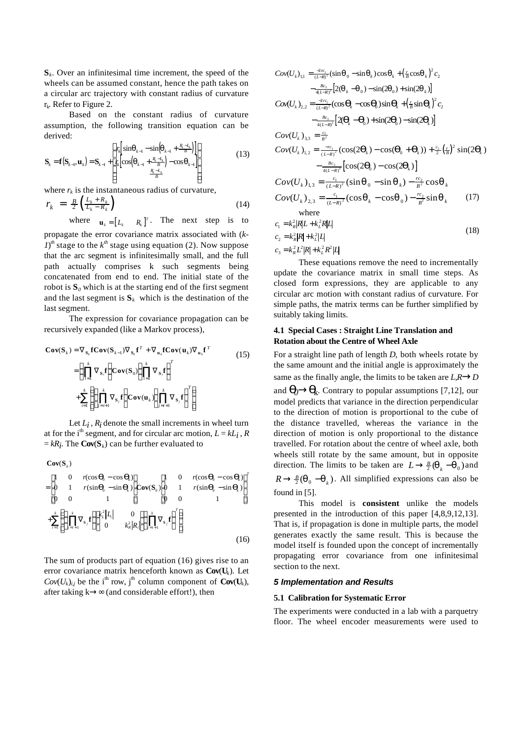**S***k* . Over an infinitesimal time increment, the speed of the wheels can be assumed constant, hence the path takes on a circular arc trajectory with constant radius of curvature  $r_k$ . Refer to Figure 2.

Based on the constant radius of curvature assumption, the following transition equation can be derived:

$$
\mathbf{S}_{k} = \mathbf{f}(\mathbf{S}_{k-1}, \mathbf{u}_{k}) = \mathbf{S}_{k-1} + \begin{bmatrix} r_{k} \left[ \sin \mathbf{q}_{k-1} - \sin \left( \mathbf{q}_{k-1} + \frac{R_{k} - I_{k}}{B} \right) \right] \\ r_{k} \left[ \cos \left( \mathbf{q}_{k-1} + \frac{R_{k} - I_{k}}{B} \right) - \cos \mathbf{q}_{k-1} \right] \\ \frac{R_{k} - I_{k}}{B} \end{bmatrix}
$$
(13)

where  $r_k$  is the instantaneous radius of curvature,

$$
r_k = \frac{B}{2} \left( \frac{L_k + R_k}{L_k - R_k} \right) \tag{14}
$$

where  $\mathbf{u}_k = \begin{bmatrix} L_k & R_k \end{bmatrix}^T$ . The next step is to

propagate the error covariance matrix associated with (*k-* $I$ <sup>th</sup> stage to the  $k^{th}$  stage using equation (2). Now suppose that the arc segment is infinitesimally small, and the full path actually comprises k such segments being concatenated from end to end. The initial state of the robot is  $S_0$  which is at the starting end of the first segment and the last segment is  $S_k$  which is the destination of the last segment.

The expression for covariance propagation can be recursively expanded (like a Markov process),

$$
\mathbf{Cov}(\mathbf{S}_{k}) = \nabla_{\mathbf{S}_{k}} \mathbf{fCov}(\mathbf{S}_{k-1}) \nabla_{\mathbf{S}_{k}} \mathbf{f}^{T} + \nabla_{\mathbf{u}_{k}} \mathbf{fCov}(\mathbf{u}_{k}) \nabla_{\mathbf{u}_{k}} \mathbf{f}^{T}
$$
\n
$$
= \left( \prod_{i=1}^{k} \nabla_{\mathbf{S}_{i}} \mathbf{f} \right) \mathbf{Cov}(\mathbf{S}_{0}) \left( \prod_{i=1}^{k} \nabla_{\mathbf{S}_{i}} \mathbf{f} \right)^{T}
$$
\n
$$
+ \sum_{i=1}^{k} \left\{ \left( \prod_{j=i+1}^{k} \nabla_{\mathbf{S}_{j}} \mathbf{f} \right) \mathbf{Cov}(\mathbf{u}_{k}) \left( \prod_{j=i+1}^{k} \nabla_{\mathbf{S}_{j}} \mathbf{f} \right)^{T} \right\}
$$
\n(15)

Let  $L_i$ ,  $R_i$  denote the small increments in wheel turn at for the i<sup>th</sup> segment, and for circular arc motion,  $L = kL_i$ , *R* = *kRi* . The **Cov**(**S***k*) can be further evaluated to

$$
Cov(S_{k})
$$

$$
= \begin{bmatrix} 1 & 0 & r(\cos \boldsymbol{q}_b - \cos \boldsymbol{q}_b) \\ 0 & 1 & r(\sin \boldsymbol{q}_b - \sin \boldsymbol{q}_b) \\ 0 & 0 & 1 \end{bmatrix} \text{Cov}(\mathbf{S}_0) \begin{bmatrix} 1 & 0 & r(\cos \boldsymbol{q}_b - \cos \boldsymbol{q}_b) \\ 0 & 1 & r(\sin \boldsymbol{q}_b - \sin \boldsymbol{q}_b) \\ 0 & 0 & 1 \end{bmatrix}^T
$$

$$
+ \sum_{i=1}^k \left\{ \left( \prod_{j=i+1}^k \nabla_{\mathbf{S}_j} \mathbf{f} \right) \begin{bmatrix} k_i^2 |I_i| & 0 \\ 0 & k_k^2 |R_i| \end{bmatrix} \left( \prod_{j=i+1}^k \nabla_{\mathbf{S}_j} \mathbf{f} \right)^T \right\}
$$
(16)

The sum of products part of equation (16) gives rise to an error covariance matrix henceforth known as **Cov**(**U***k*). Let  $Cov(U_k)_{i,j}$  be the i<sup>th</sup> row, j<sup>th</sup> column component of  $Cov(U_k)$ , after taking k→∞ (and considerable effort!), then

$$
Cov(U_k)_{1,1} = \frac{2\kappa_1}{(L-R)^2} (\sin \bm{q}_0 - \sin \bm{q}_k) \cos \bm{q}_k + (\frac{r}{B} \cos \bm{q}_k)^2 c_2 - \frac{Rc_3}{4(L-R)^3} [2(\bm{q}_k - \bm{q}_0) - \sin(2\bm{q}_0) + \sin(2\bm{q}_k)] Cov(U_k)_{2,2} = \frac{2\kappa_1}{(L-R)^2} (\cos \bm{q}_k - \cos \bm{q}_k) \sin \bm{q}_k + (\frac{r}{B} \sin \bm{q}_k)^2 c_2 - \frac{Rc_3}{4(L-R)^3} [2(\bm{q}_k - \bm{q}_0) + \sin(2\bm{q}_0) - \sin(2\bm{q}_k)] Cov(U_k)_{3,3} = \frac{c_2}{B^2} Cov(U_k)_{1,2} = \frac{-\kappa_1}{(L-R)^2} (\cos(2\bm{q}_k) - \cos(\bm{q}_0 + \bm{q}_k)) + \frac{c_2}{2} (\frac{r}{B})^2 \sin(2\bm{q}_k) - \frac{Rc_3}{4(L-R)^3} [\cos(2\bm{q}_0) - \cos(2\bm{q}_k)] Cov(U_k)_{1,3} = \frac{c_1}{(L-R)^2} (\sin \bm{q}_0 - \sin \bm{q}_k) - \frac{rc_2}{B^2} \cos \bm{q}_k Cov(U_k)_{2,3} = \frac{c_1}{(L-R)^2} (\cos \bm{q}_k - \cos \bm{q}_0) - \frac{rc_2}{B^2} \sin \bm{q}_k
$$
(17)  
where

$$
c_1 = k_R^2 |\mathbf{R}| L + k_L^2 R |L|
$$
  
\n
$$
c_2 = k_R^2 |\mathbf{R}| + k_L^2 |L|
$$
\n(18)

 $c_3 = k_R^2 L^2 |R| + k_L^2 R^2 |L|$ 

These equations remove the need to incrementally update the covariance matrix in small time steps. As closed form expressions, they are applicable to any circular arc motion with constant radius of curvature. For simple paths, the matrix terms can be further simplified by suitably taking limits.

## **4.1 Special Cases : Straight Line Translation and Rotation about the Centre of Wheel Axle**

For a straight line path of length *D*, both wheels rotate by the same amount and the initial angle is approximately the same as the finally angle, the limits to be taken are  $L, R \rightarrow D$ 

and  $\mathbf{q}$   $\rightarrow$   $\mathbf{q}$ <sub>k</sub>. Contrary to popular assumptions [7,12], our model predicts that variance in the direction perpendicular to the direction of motion is proportional to the cube of the distance travelled, whereas the variance in the direction of motion is only proportional to the distance travelled. For rotation about the centre of wheel axle, both wheels still rotate by the same amount, but in opposite direction. The limits to be taken are  $L \rightarrow \frac{B}{2}(\mathbf{q}_k - \mathbf{q}_0)$  and

 $R \rightarrow \frac{B}{2}(\mathbf{q}_{0} - \mathbf{q}_{k})$ . All simplified expressions can also be found in [5].

This model is **consistent** unlike the models presented in the introduction of this paper [4,8,9,12,13]. That is, if propagation is done in multiple parts, the model generates exactly the same result. This is because the model itself is founded upon the concept of incrementally propagating error covariance from one infinitesimal section to the next.

## *5 Implementation and Results*

#### **5.1 Calibration for Systematic Error**

The experiments were conducted in a lab with a parquetry floor. The wheel encoder measurements were used to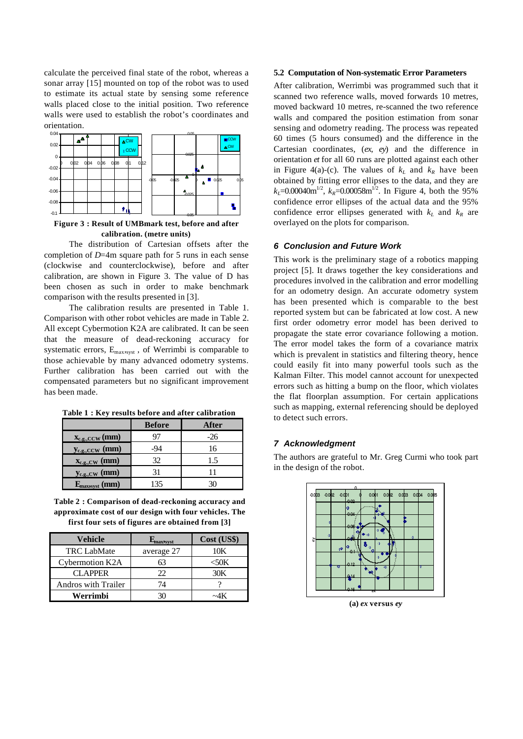calculate the perceived final state of the robot, whereas a sonar array [15] mounted on top of the robot was to used to estimate its actual state by sensing some reference walls placed close to the initial position. Two reference walls were used to establish the robot's coordinates and orientation.



**Figure 3 : Result of UMBmark test, before and after calibration. (metre units)**

The distribution of Cartesian offsets after the completion of *D*=4m square path for 5 runs in each sense (clockwise and counterclockwise), before and after calibration, are shown in Figure 3. The value of D has been chosen as such in order to make benchmark comparison with the results presented in [3].

The calibration results are presented in Table 1. Comparison with other robot vehicles are made in Table 2. All except Cybermotion K2A are calibrated. It can be seen that the measure of dead-reckoning accuracy for systematic errors, Emax,syst , of Werrimbi is comparable to those achievable by many advanced odometry systems. Further calibration has been carried out with the compensated parameters but no significant improvement has been made.

|                                          | <b>Before</b> | After |
|------------------------------------------|---------------|-------|
| $\underline{\mathbf{x}_{c.g.,CCW}}$ (mm) |               | -26   |
| $y_{c.g.,CCW}$ (mm)                      | -94           | 16    |
| $\mathbf{x}_{\text{c.g., CW}}$ (mm)      | 32            | 15    |
| $y_{c.g., CW}$ (mm)                      | 31            |       |
|                                          | 135           |       |

**Table 1 : Key results before and after calibration**

**Table 2 : Comparison of dead-reckoning accuracy and approximate cost of our design with four vehicles. The first four sets of figures are obtained from [3]**

| Vehicle                    | Lmaxysyst  | Cost (US\$) |
|----------------------------|------------|-------------|
| <b>TRC LabMate</b>         | average 27 | 10K         |
| <b>Cybermotion K2A</b>     | 63         | < 50K       |
| <b>CLAPPER</b>             | 22.        | 30K         |
| <b>Andros with Trailer</b> | 74         |             |
| Werrimbi                   |            |             |

#### **5.2 Computation of Non-systematic Error Parameters**

After calibration, Werrimbi was programmed such that it scanned two reference walls, moved forwards 10 metres, moved backward 10 metres, re-scanned the two reference walls and compared the position estimation from sonar sensing and odometry reading. The process was repeated 60 times (5 hours consumed) and the difference in the Cartesian coordinates, (*ex*, *ey*) and the difference in orientation *et* for all 60 runs are plotted against each other in Figure 4(a)-(c). The values of  $k<sub>L</sub>$  and  $k<sub>R</sub>$  have been obtained by fitting error ellipses to the data, and they are  $k_L$ =0.00040m<sup>1/2</sup>,  $k_R$ =0.00058m<sup>1/2</sup>. In Figure 4, both the 95% confidence error ellipses of the actual data and the 95% confidence error ellipses generated with  $k_L$  and  $k_R$  are overlayed on the plots for comparison.

## *6 Conclusion and Future Work*

This work is the preliminary stage of a robotics mapping project [5]. It draws together the key considerations and procedures involved in the calibration and error modelling for an odometry design. An accurate odometry system has been presented which is comparable to the best reported system but can be fabricated at low cost. A new first order odometry error model has been derived to propagate the state error covariance following a motion. The error model takes the form of a covariance matrix which is prevalent in statistics and filtering theory, hence could easily fit into many powerful tools such as the Kalman Filter. This model cannot account for unexpected errors such as hitting a bump on the floor, which violates the flat floorplan assumption. For certain applications such as mapping, external referencing should be deployed to detect such errors.

## *7 Acknowledgment*

The authors are grateful to Mr. Greg Curmi who took part in the design of the robot.



**(a)** *ex* **versus** *ey*